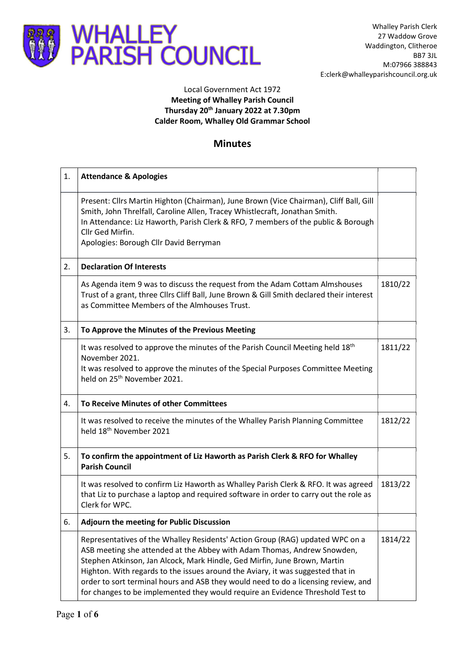

## Local Government Act 1972 Meeting of Whalley Parish Council Thursday 20th January 2022 at 7.30pm Calder Room, Whalley Old Grammar School

## Minutes

| 1. | <b>Attendance &amp; Apologies</b>                                                                                                                                                                                                                                                                                                                                                                                                                                                                |         |
|----|--------------------------------------------------------------------------------------------------------------------------------------------------------------------------------------------------------------------------------------------------------------------------------------------------------------------------------------------------------------------------------------------------------------------------------------------------------------------------------------------------|---------|
|    | Present: Cllrs Martin Highton (Chairman), June Brown (Vice Chairman), Cliff Ball, Gill<br>Smith, John Threlfall, Caroline Allen, Tracey Whistlecraft, Jonathan Smith.<br>In Attendance: Liz Haworth, Parish Clerk & RFO, 7 members of the public & Borough<br>Cllr Ged Mirfin.<br>Apologies: Borough Cllr David Berryman                                                                                                                                                                         |         |
| 2. | <b>Declaration Of Interests</b>                                                                                                                                                                                                                                                                                                                                                                                                                                                                  |         |
|    | As Agenda item 9 was to discuss the request from the Adam Cottam Almshouses<br>Trust of a grant, three Cllrs Cliff Ball, June Brown & Gill Smith declared their interest<br>as Committee Members of the Almhouses Trust.                                                                                                                                                                                                                                                                         | 1810/22 |
| 3. | To Approve the Minutes of the Previous Meeting                                                                                                                                                                                                                                                                                                                                                                                                                                                   |         |
|    | It was resolved to approve the minutes of the Parish Council Meeting held 18 <sup>th</sup><br>November 2021.<br>It was resolved to approve the minutes of the Special Purposes Committee Meeting<br>held on 25 <sup>th</sup> November 2021.                                                                                                                                                                                                                                                      | 1811/22 |
| 4. | To Receive Minutes of other Committees                                                                                                                                                                                                                                                                                                                                                                                                                                                           |         |
|    | It was resolved to receive the minutes of the Whalley Parish Planning Committee<br>held 18 <sup>th</sup> November 2021                                                                                                                                                                                                                                                                                                                                                                           | 1812/22 |
| 5. | To confirm the appointment of Liz Haworth as Parish Clerk & RFO for Whalley<br><b>Parish Council</b>                                                                                                                                                                                                                                                                                                                                                                                             |         |
|    | It was resolved to confirm Liz Haworth as Whalley Parish Clerk & RFO. It was agreed<br>that Liz to purchase a laptop and required software in order to carry out the role as<br>Clerk for WPC.                                                                                                                                                                                                                                                                                                   | 1813/22 |
| 6. | Adjourn the meeting for Public Discussion                                                                                                                                                                                                                                                                                                                                                                                                                                                        |         |
|    | Representatives of the Whalley Residents' Action Group (RAG) updated WPC on a<br>ASB meeting she attended at the Abbey with Adam Thomas, Andrew Snowden,<br>Stephen Atkinson, Jan Alcock, Mark Hindle, Ged Mirfin, June Brown, Martin<br>Highton. With regards to the issues around the Aviary, it was suggested that in<br>order to sort terminal hours and ASB they would need to do a licensing review, and<br>for changes to be implemented they would require an Evidence Threshold Test to | 1814/22 |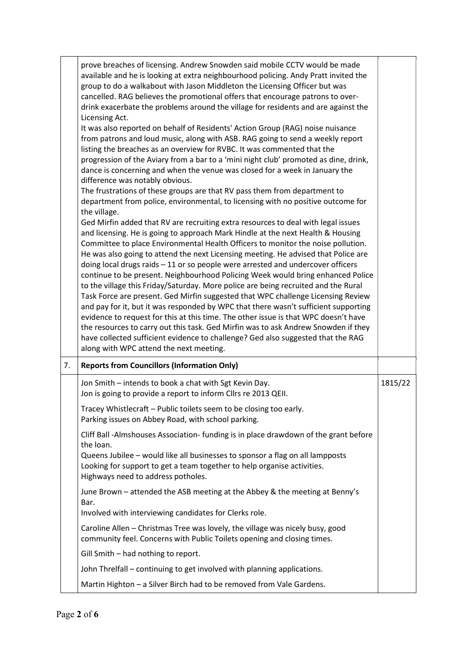|    | prove breaches of licensing. Andrew Snowden said mobile CCTV would be made<br>available and he is looking at extra neighbourhood policing. Andy Pratt invited the<br>group to do a walkabout with Jason Middleton the Licensing Officer but was<br>cancelled. RAG believes the promotional offers that encourage patrons to over-                                                                                                                                                                                                                                                                                                                                                                                                                                                                                                                                                                                                                                                                                                                                                                                                                                                                                                                                                                                                                                                                                                                                                                                                                                                                                              |         |
|----|--------------------------------------------------------------------------------------------------------------------------------------------------------------------------------------------------------------------------------------------------------------------------------------------------------------------------------------------------------------------------------------------------------------------------------------------------------------------------------------------------------------------------------------------------------------------------------------------------------------------------------------------------------------------------------------------------------------------------------------------------------------------------------------------------------------------------------------------------------------------------------------------------------------------------------------------------------------------------------------------------------------------------------------------------------------------------------------------------------------------------------------------------------------------------------------------------------------------------------------------------------------------------------------------------------------------------------------------------------------------------------------------------------------------------------------------------------------------------------------------------------------------------------------------------------------------------------------------------------------------------------|---------|
|    | drink exacerbate the problems around the village for residents and are against the<br>Licensing Act.<br>It was also reported on behalf of Residents' Action Group (RAG) noise nuisance<br>from patrons and loud music, along with ASB. RAG going to send a weekly report<br>listing the breaches as an overview for RVBC. It was commented that the<br>progression of the Aviary from a bar to a 'mini night club' promoted as dine, drink,<br>dance is concerning and when the venue was closed for a week in January the<br>difference was notably obvious.<br>The frustrations of these groups are that RV pass them from department to<br>department from police, environmental, to licensing with no positive outcome for<br>the village.<br>Ged Mirfin added that RV are recruiting extra resources to deal with legal issues<br>and licensing. He is going to approach Mark Hindle at the next Health & Housing<br>Committee to place Environmental Health Officers to monitor the noise pollution.<br>He was also going to attend the next Licensing meeting. He advised that Police are<br>doing local drugs raids - 11 or so people were arrested and undercover officers<br>continue to be present. Neighbourhood Policing Week would bring enhanced Police<br>to the village this Friday/Saturday. More police are being recruited and the Rural<br>Task Force are present. Ged Mirfin suggested that WPC challenge Licensing Review<br>and pay for it, but it was responded by WPC that there wasn't sufficient supporting<br>evidence to request for this at this time. The other issue is that WPC doesn't have |         |
|    | the resources to carry out this task. Ged Mirfin was to ask Andrew Snowden if they<br>have collected sufficient evidence to challenge? Ged also suggested that the RAG<br>along with WPC attend the next meeting.                                                                                                                                                                                                                                                                                                                                                                                                                                                                                                                                                                                                                                                                                                                                                                                                                                                                                                                                                                                                                                                                                                                                                                                                                                                                                                                                                                                                              |         |
| 7. | <b>Reports from Councillors (Information Only)</b>                                                                                                                                                                                                                                                                                                                                                                                                                                                                                                                                                                                                                                                                                                                                                                                                                                                                                                                                                                                                                                                                                                                                                                                                                                                                                                                                                                                                                                                                                                                                                                             |         |
|    | Jon Smith - intends to book a chat with Sgt Kevin Day.<br>Jon is going to provide a report to inform Cllrs re 2013 QEII.                                                                                                                                                                                                                                                                                                                                                                                                                                                                                                                                                                                                                                                                                                                                                                                                                                                                                                                                                                                                                                                                                                                                                                                                                                                                                                                                                                                                                                                                                                       | 1815/22 |
|    | Tracey Whistlecraft - Public toilets seem to be closing too early.<br>Parking issues on Abbey Road, with school parking.                                                                                                                                                                                                                                                                                                                                                                                                                                                                                                                                                                                                                                                                                                                                                                                                                                                                                                                                                                                                                                                                                                                                                                                                                                                                                                                                                                                                                                                                                                       |         |
|    | Cliff Ball -Almshouses Association- funding is in place drawdown of the grant before<br>the loan.<br>Queens Jubilee - would like all businesses to sponsor a flag on all lampposts<br>Looking for support to get a team together to help organise activities.<br>Highways need to address potholes.                                                                                                                                                                                                                                                                                                                                                                                                                                                                                                                                                                                                                                                                                                                                                                                                                                                                                                                                                                                                                                                                                                                                                                                                                                                                                                                            |         |
|    | June Brown - attended the ASB meeting at the Abbey & the meeting at Benny's<br>Bar.                                                                                                                                                                                                                                                                                                                                                                                                                                                                                                                                                                                                                                                                                                                                                                                                                                                                                                                                                                                                                                                                                                                                                                                                                                                                                                                                                                                                                                                                                                                                            |         |
|    | Involved with interviewing candidates for Clerks role.                                                                                                                                                                                                                                                                                                                                                                                                                                                                                                                                                                                                                                                                                                                                                                                                                                                                                                                                                                                                                                                                                                                                                                                                                                                                                                                                                                                                                                                                                                                                                                         |         |
|    | Caroline Allen - Christmas Tree was lovely, the village was nicely busy, good<br>community feel. Concerns with Public Toilets opening and closing times.                                                                                                                                                                                                                                                                                                                                                                                                                                                                                                                                                                                                                                                                                                                                                                                                                                                                                                                                                                                                                                                                                                                                                                                                                                                                                                                                                                                                                                                                       |         |
|    | Gill Smith - had nothing to report.                                                                                                                                                                                                                                                                                                                                                                                                                                                                                                                                                                                                                                                                                                                                                                                                                                                                                                                                                                                                                                                                                                                                                                                                                                                                                                                                                                                                                                                                                                                                                                                            |         |
|    | John Threlfall - continuing to get involved with planning applications.                                                                                                                                                                                                                                                                                                                                                                                                                                                                                                                                                                                                                                                                                                                                                                                                                                                                                                                                                                                                                                                                                                                                                                                                                                                                                                                                                                                                                                                                                                                                                        |         |
|    | Martin Highton - a Silver Birch had to be removed from Vale Gardens.                                                                                                                                                                                                                                                                                                                                                                                                                                                                                                                                                                                                                                                                                                                                                                                                                                                                                                                                                                                                                                                                                                                                                                                                                                                                                                                                                                                                                                                                                                                                                           |         |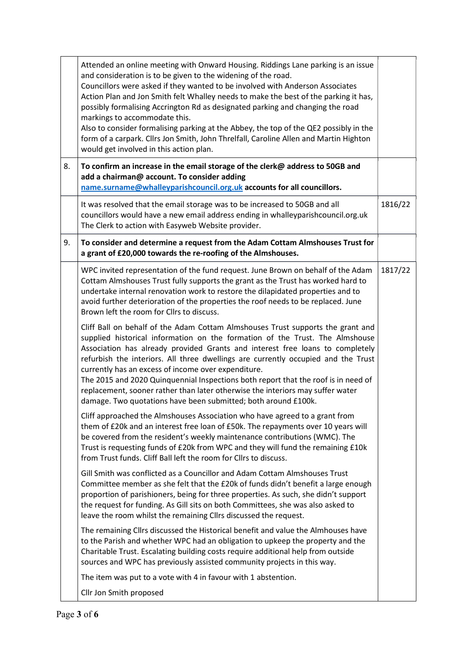|    | Attended an online meeting with Onward Housing. Riddings Lane parking is an issue<br>and consideration is to be given to the widening of the road.<br>Councillors were asked if they wanted to be involved with Anderson Associates<br>Action Plan and Jon Smith felt Whalley needs to make the best of the parking it has,<br>possibly formalising Accrington Rd as designated parking and changing the road<br>markings to accommodate this.<br>Also to consider formalising parking at the Abbey, the top of the QE2 possibly in the<br>form of a carpark. Cllrs Jon Smith, John Threlfall, Caroline Allen and Martin Highton<br>would get involved in this action plan. |         |  |
|----|-----------------------------------------------------------------------------------------------------------------------------------------------------------------------------------------------------------------------------------------------------------------------------------------------------------------------------------------------------------------------------------------------------------------------------------------------------------------------------------------------------------------------------------------------------------------------------------------------------------------------------------------------------------------------------|---------|--|
| 8. | To confirm an increase in the email storage of the clerk@ address to 50GB and<br>add a chairman@ account. To consider adding<br>name.surname@whalleyparishcouncil.org.uk accounts for all councillors.                                                                                                                                                                                                                                                                                                                                                                                                                                                                      |         |  |
|    | It was resolved that the email storage was to be increased to 50GB and all<br>councillors would have a new email address ending in whalleyparishcouncil.org.uk<br>The Clerk to action with Easyweb Website provider.                                                                                                                                                                                                                                                                                                                                                                                                                                                        | 1816/22 |  |
| 9. | To consider and determine a request from the Adam Cottam Almshouses Trust for<br>a grant of £20,000 towards the re-roofing of the Almshouses.                                                                                                                                                                                                                                                                                                                                                                                                                                                                                                                               |         |  |
|    | WPC invited representation of the fund request. June Brown on behalf of the Adam<br>Cottam Almshouses Trust fully supports the grant as the Trust has worked hard to<br>undertake internal renovation work to restore the dilapidated properties and to<br>avoid further deterioration of the properties the roof needs to be replaced. June<br>Brown left the room for Cllrs to discuss.                                                                                                                                                                                                                                                                                   | 1817/22 |  |
|    | Cliff Ball on behalf of the Adam Cottam Almshouses Trust supports the grant and<br>supplied historical information on the formation of the Trust. The Almshouse<br>Association has already provided Grants and interest free loans to completely<br>refurbish the interiors. All three dwellings are currently occupied and the Trust<br>currently has an excess of income over expenditure.<br>The 2015 and 2020 Quinquennial Inspections both report that the roof is in need of<br>replacement, sooner rather than later otherwise the interiors may suffer water<br>damage. Two quotations have been submitted; both around £100k.                                      |         |  |
|    | Cliff approached the Almshouses Association who have agreed to a grant from<br>them of £20k and an interest free loan of £50k. The repayments over 10 years will<br>be covered from the resident's weekly maintenance contributions (WMC). The<br>Trust is requesting funds of £20k from WPC and they will fund the remaining £10k<br>from Trust funds. Cliff Ball left the room for Cllrs to discuss.                                                                                                                                                                                                                                                                      |         |  |
|    | Gill Smith was conflicted as a Councillor and Adam Cottam Almshouses Trust<br>Committee member as she felt that the £20k of funds didn't benefit a large enough<br>proportion of parishioners, being for three properties. As such, she didn't support<br>the request for funding. As Gill sits on both Committees, she was also asked to<br>leave the room whilst the remaining Cllrs discussed the request.                                                                                                                                                                                                                                                               |         |  |
|    | The remaining Cllrs discussed the Historical benefit and value the Almhouses have<br>to the Parish and whether WPC had an obligation to upkeep the property and the<br>Charitable Trust. Escalating building costs require additional help from outside<br>sources and WPC has previously assisted community projects in this way.                                                                                                                                                                                                                                                                                                                                          |         |  |
|    | The item was put to a vote with 4 in favour with 1 abstention.                                                                                                                                                                                                                                                                                                                                                                                                                                                                                                                                                                                                              |         |  |
|    | Cllr Jon Smith proposed                                                                                                                                                                                                                                                                                                                                                                                                                                                                                                                                                                                                                                                     |         |  |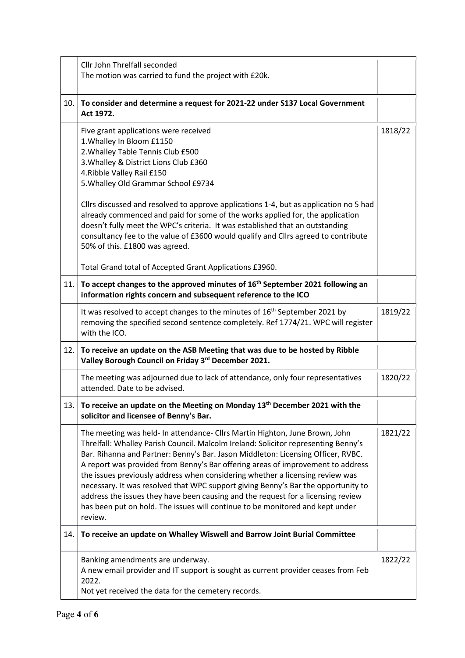|      | Cllr John Threlfall seconded<br>The motion was carried to fund the project with £20k.                                                                                                                                                                                                                                                                                                                                                                                                                                                                                                                                                                                                          |         |
|------|------------------------------------------------------------------------------------------------------------------------------------------------------------------------------------------------------------------------------------------------------------------------------------------------------------------------------------------------------------------------------------------------------------------------------------------------------------------------------------------------------------------------------------------------------------------------------------------------------------------------------------------------------------------------------------------------|---------|
|      | 10. To consider and determine a request for 2021-22 under S137 Local Government<br>Act 1972.                                                                                                                                                                                                                                                                                                                                                                                                                                                                                                                                                                                                   |         |
|      | Five grant applications were received<br>1. Whalley In Bloom £1150<br>2. Whalley Table Tennis Club £500<br>3. Whalley & District Lions Club £360<br>4. Ribble Valley Rail £150<br>5. Whalley Old Grammar School £9734<br>Cllrs discussed and resolved to approve applications 1-4, but as application no 5 had<br>already commenced and paid for some of the works applied for, the application<br>doesn't fully meet the WPC's criteria. It was established that an outstanding<br>consultancy fee to the value of £3600 would qualify and Cllrs agreed to contribute<br>50% of this. £1800 was agreed.                                                                                       | 1818/22 |
|      | Total Grand total of Accepted Grant Applications £3960.                                                                                                                                                                                                                                                                                                                                                                                                                                                                                                                                                                                                                                        |         |
|      | 11. To accept changes to the approved minutes of 16 <sup>th</sup> September 2021 following an<br>information rights concern and subsequent reference to the ICO                                                                                                                                                                                                                                                                                                                                                                                                                                                                                                                                |         |
|      | It was resolved to accept changes to the minutes of 16 <sup>th</sup> September 2021 by<br>removing the specified second sentence completely. Ref 1774/21. WPC will register<br>with the ICO.                                                                                                                                                                                                                                                                                                                                                                                                                                                                                                   | 1819/22 |
| 12.1 | To receive an update on the ASB Meeting that was due to be hosted by Ribble<br>Valley Borough Council on Friday 3rd December 2021.                                                                                                                                                                                                                                                                                                                                                                                                                                                                                                                                                             |         |
|      | The meeting was adjourned due to lack of attendance, only four representatives<br>attended. Date to be advised.                                                                                                                                                                                                                                                                                                                                                                                                                                                                                                                                                                                | 1820/22 |
|      | 13. To receive an update on the Meeting on Monday 13 <sup>th</sup> December 2021 with the<br>solicitor and licensee of Benny's Bar.                                                                                                                                                                                                                                                                                                                                                                                                                                                                                                                                                            |         |
|      | The meeting was held- In attendance- Cllrs Martin Highton, June Brown, John<br>Threlfall: Whalley Parish Council. Malcolm Ireland: Solicitor representing Benny's<br>Bar. Rihanna and Partner: Benny's Bar. Jason Middleton: Licensing Officer, RVBC.<br>A report was provided from Benny's Bar offering areas of improvement to address<br>the issues previously address when considering whether a licensing review was<br>necessary. It was resolved that WPC support giving Benny's Bar the opportunity to<br>address the issues they have been causing and the request for a licensing review<br>has been put on hold. The issues will continue to be monitored and kept under<br>review. | 1821/22 |
| 14.1 | To receive an update on Whalley Wiswell and Barrow Joint Burial Committee                                                                                                                                                                                                                                                                                                                                                                                                                                                                                                                                                                                                                      |         |
|      | Banking amendments are underway.<br>A new email provider and IT support is sought as current provider ceases from Feb<br>2022.<br>Not yet received the data for the cemetery records.                                                                                                                                                                                                                                                                                                                                                                                                                                                                                                          | 1822/22 |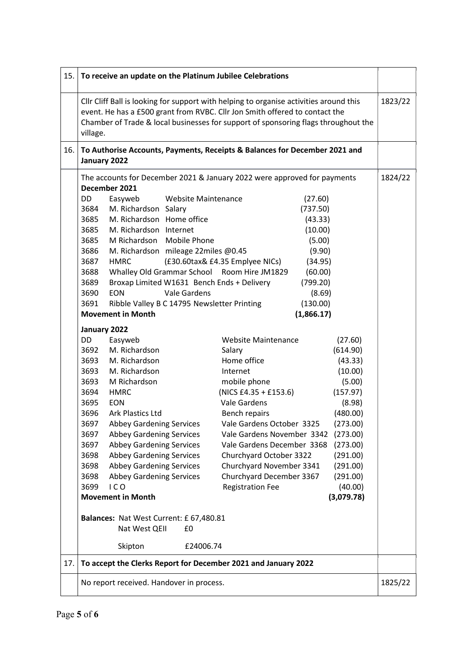| 15.1 | To receive an update on the Platinum Jubilee Celebrations                                                                                                                                                                                                                                                                                                                                                                                                                                                                                                                                                                                                                                                                                                                                                                                                                                                                                                                                                                                                                                                                                                                                                                                                                                                                                                                                                                                                                                                                                                                                                                                                                                                                                                                                                                                                                                                                                                                                                        |         |
|------|------------------------------------------------------------------------------------------------------------------------------------------------------------------------------------------------------------------------------------------------------------------------------------------------------------------------------------------------------------------------------------------------------------------------------------------------------------------------------------------------------------------------------------------------------------------------------------------------------------------------------------------------------------------------------------------------------------------------------------------------------------------------------------------------------------------------------------------------------------------------------------------------------------------------------------------------------------------------------------------------------------------------------------------------------------------------------------------------------------------------------------------------------------------------------------------------------------------------------------------------------------------------------------------------------------------------------------------------------------------------------------------------------------------------------------------------------------------------------------------------------------------------------------------------------------------------------------------------------------------------------------------------------------------------------------------------------------------------------------------------------------------------------------------------------------------------------------------------------------------------------------------------------------------------------------------------------------------------------------------------------------------|---------|
|      | Cllr Cliff Ball is looking for support with helping to organise activities around this<br>event. He has a £500 grant from RVBC. Cllr Jon Smith offered to contact the<br>Chamber of Trade & local businesses for support of sponsoring flags throughout the<br>village.                                                                                                                                                                                                                                                                                                                                                                                                                                                                                                                                                                                                                                                                                                                                                                                                                                                                                                                                                                                                                                                                                                                                                                                                                                                                                                                                                                                                                                                                                                                                                                                                                                                                                                                                          | 1823/22 |
|      | 16. To Authorise Accounts, Payments, Receipts & Balances for December 2021 and<br>January 2022                                                                                                                                                                                                                                                                                                                                                                                                                                                                                                                                                                                                                                                                                                                                                                                                                                                                                                                                                                                                                                                                                                                                                                                                                                                                                                                                                                                                                                                                                                                                                                                                                                                                                                                                                                                                                                                                                                                   |         |
| 17.  | The accounts for December 2021 & January 2022 were approved for payments<br>December 2021<br>DD<br>Easyweb<br><b>Website Maintenance</b><br>(27.60)<br>M. Richardson Salary<br>3684<br>(737.50)<br>3685<br>M. Richardson Home office<br>(43.33)<br>3685<br>M. Richardson Internet<br>(10.00)<br>3685<br>M Richardson Mobile Phone<br>(5.00)<br>3686<br>M. Richardson mileage 22miles @0.45<br>(9.90)<br>3687<br><b>HMRC</b><br>(£30.60tax& £4.35 Emplyee NICs)<br>(34.95)<br>Whalley Old Grammar School Room Hire JM1829<br>(60.00)<br>3688<br>Broxap Limited W1631 Bench Ends + Delivery<br>3689<br>(799.20)<br>Vale Gardens<br>3690<br><b>EON</b><br>(8.69)<br>3691<br>Ribble Valley B C 14795 Newsletter Printing<br>(130.00)<br><b>Movement in Month</b><br>(1,866.17)<br>January 2022<br>DD<br>Easyweb<br><b>Website Maintenance</b><br>(27.60)<br>M. Richardson<br>3692<br>Salary<br>(614.90)<br>M. Richardson<br>Home office<br>3693<br>(43.33)<br>3693<br>M. Richardson<br>(10.00)<br>Internet<br>mobile phone<br>3693<br>M Richardson<br>(5.00)<br>$(NICS E4.35 + E153.6)$<br>3694<br><b>HMRC</b><br>(157.97)<br>Vale Gardens<br>3695<br><b>EON</b><br>(8.98)<br>3696<br>(480.00)<br>Ark Plastics Ltd<br>Bench repairs<br>3697<br>Vale Gardens October 3325<br><b>Abbey Gardening Services</b><br>(273.00)<br>3697<br><b>Abbey Gardening Services</b><br>Vale Gardens November 3342<br>(273.00)<br><b>Abbey Gardening Services</b><br>Vale Gardens December 3368<br>(273.00)<br>3697<br>3698<br><b>Abbey Gardening Services</b><br>Churchyard October 3322<br>(291.00)<br><b>Abbey Gardening Services</b><br>Churchyard November 3341<br>3698<br>(291.00)<br>Churchyard December 3367<br><b>Abbey Gardening Services</b><br>3698<br>(291.00)<br>ICO<br>3699<br><b>Registration Fee</b><br>(40.00)<br><b>Movement in Month</b><br>(3,079.78)<br>Balances: Nat West Current: £ 67,480.81<br>Nat West QEII<br>£0<br>Skipton<br>£24006.74<br>To accept the Clerks Report for December 2021 and January 2022 | 1824/22 |
|      | No report received. Handover in process.                                                                                                                                                                                                                                                                                                                                                                                                                                                                                                                                                                                                                                                                                                                                                                                                                                                                                                                                                                                                                                                                                                                                                                                                                                                                                                                                                                                                                                                                                                                                                                                                                                                                                                                                                                                                                                                                                                                                                                         | 1825/22 |
|      |                                                                                                                                                                                                                                                                                                                                                                                                                                                                                                                                                                                                                                                                                                                                                                                                                                                                                                                                                                                                                                                                                                                                                                                                                                                                                                                                                                                                                                                                                                                                                                                                                                                                                                                                                                                                                                                                                                                                                                                                                  |         |